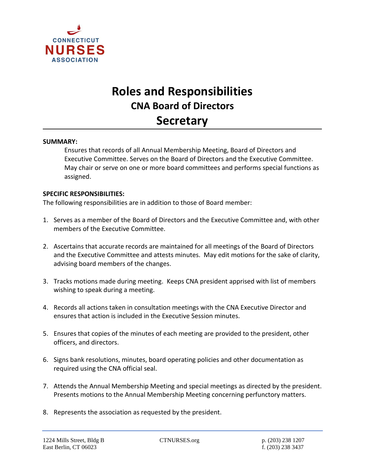

# **Roles and Responsibilities CNA Board of Directors Secretary**

#### **SUMMARY:**

Ensures that records of all Annual Membership Meeting, Board of Directors and Executive Committee. Serves on the Board of Directors and the Executive Committee. May chair or serve on one or more board committees and performs special functions as assigned.

### **SPECIFIC RESPONSIBILITIES:**

The following responsibilities are in addition to those of Board member:

- 1. Serves as a member of the Board of Directors and the Executive Committee and, with other members of the Executive Committee.
- 2. Ascertains that accurate records are maintained for all meetings of the Board of Directors and the Executive Committee and attests minutes. May edit motions for the sake of clarity, advising board members of the changes.
- 3. Tracks motions made during meeting. Keeps CNA president apprised with list of members wishing to speak during a meeting.
- 4. Records all actions taken in consultation meetings with the CNA Executive Director and ensures that action is included in the Executive Session minutes.
- 5. Ensures that copies of the minutes of each meeting are provided to the president, other officers, and directors.
- 6. Signs bank resolutions, minutes, board operating policies and other documentation as required using the CNA official seal.
- 7. Attends the Annual Membership Meeting and special meetings as directed by the president. Presents motions to the Annual Membership Meeting concerning perfunctory matters.
- 8. Represents the association as requested by the president.